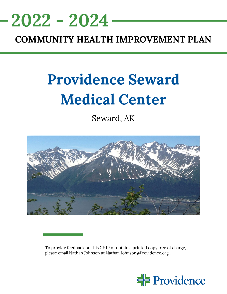

# **COMMUNITY HEALTH IMPROVEMENT PLAN**

# **Providence Seward Medical Center**

Seward, AK



To provide feedback on this CHIP or obtain a printed copy free of charge, please email Nathan Johnson at Nathan.Johnson@Providence.org .

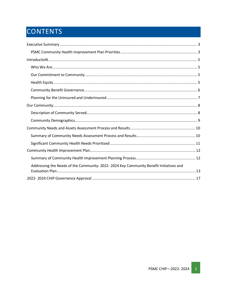# CONTENTS

| Addressing the Needs of the Community: 2022-2024 Key Community Benefit Initiatives and |  |
|----------------------------------------------------------------------------------------|--|
|                                                                                        |  |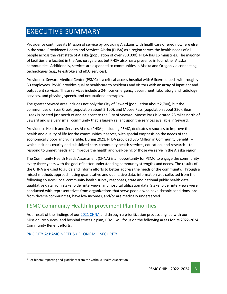# <span id="page-2-0"></span>EXECUTIVE SUMMARY

Providence continues its Mission of service by providing Alaskans with healthcare offered nowhere else in the state. Providence Health and Services Alaska (PHSA) as a region serves the health needs of all people across the vast state of Alaska (population of over 730,000). PHSA has 16 ministries. The majority of facilities are located in the Anchorage area, but PHSA also has a presence in four other Alaska communities. Additionally, services are expanded to communities in Alaska and Oregon via connecting technologies (e.g., telestroke and eICU services).

Providence Seward Medical Center (PSMC) is a critical-access hospital with 6 licensed beds with roughly 50 employees. PSMC provides quality healthcare to residents and visitors with an array of inpatient and outpatient services. These services include a 24-hour emergency department, laboratory and radiology services, and physical, speech, and occupational therapies.

The greater Seward area includes not only the City of Seward (population about 2,700), but the communities of Bear Creek (population about 2,100), and Moose Pass (population about 220). Bear Creek is located just north of and adjacent to the City of Seward. Moose Pass is located 28 miles north of Seward and is a very small community that is largely reliant upon the services available in Seward.

Providence Health and Services Alaska (PHSA), including PSMC, dedicates resources to improve the health and quality of life for the communities it serves, with special emphasis on the needs of the economically poor and vulnerable. During 202[1](#page-2-2), PHSA provided \$75 Million in Community Benefit<sup>1</sup> – which includes charity and subsidized care, community health services, education, and research – to respond to unmet needs and improve the health and well-being of those we serve in the Alaska region.

The Community Health Needs Assessment (CHNA) is an opportunity for PSMC to engage the community every three years with the goal of better understanding community strengths and needs. The results of the CHNA are used to guide and inform efforts to better address the needs of the community. Through a mixed-methods approach, using quantitative and qualitative data, information was collected from the following sources: local community health survey responses, state and national public health data, qualitative data from stakeholder interviews, and hospital utilization data. Stakeholder interviews were conducted with representatives from organizations that serve people who have chronic conditions, are from diverse communities, have low incomes, and/or are medically underserved.

### <span id="page-2-1"></span>PSMC Community Health Improvement Plan Priorities

As a result of the findings of our [2021 CHNA](https://www.providence.org/-/media/Project/psjh/providence/socal/Files/about/community-benefit/pdfs/2021chnasewardmedicalcenter.pdf?la=en&hash=5189E1FF529BE54C628954FE6699A2A4) and through a prioritization process aligned with our Mission, resources, and hospital strategic plan, PSMC will focus on the following areas for its 2022-2024 Community Benefit efforts:

PRIORITY A: BASIC NEEEDS / ECONOMIC SECURITY:

<span id="page-2-2"></span> $1$  Per federal reporting and guidelines from the Catholic Health Association.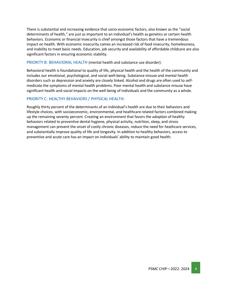There is substantial and increasing evidence that socio-economic factors, also known as the "social determinants of health," are just as important to an individual's health as genetics or certain health behaviors. Economic or financial insecurity is chief amongst those factors that have a tremendous impact on health. With economic insecurity comes an increased risk of food insecurity, homelessness, and inability to meet basic needs. Education, job security and availability of affordable childcare are also significant factors in ensuring economic stability.

#### PRIORITY B: BEHAVIORAL HEALTH (mental health and substance use disorder):

Behavioral health is foundational to quality of life, physical health and the health of the community and includes our emotional, psychological, and social well-being. Substance misuse and mental health disorders such as depression and anxiety are closely linked. Alcohol and drugs are often used to selfmedicate the symptoms of mental health problems. Poor mental health and substance misuse have significant health and social impacts on the well-being of individuals and the community as a whole.

#### PRIORITY C: HEALTHY BEHAVIORS / PHYSICAL HEALTH:

Roughly thirty percent of the determinants of an individual's health are due to their behaviors and lifestyle choices, with socioeconomic, environmental, and healthcare related factors combined making up the remaining seventy percent. Creating an environment that favors the adoption of healthy behaviors related to preventive dental hygiene, physical activity, nutrition, sleep, and stress management can prevent the onset of costly chronic diseases, reduce the need for heathcare services, and substantially improve quality of life and longevity. In addition to healthy behaviors, access to preventive and acute care has an impact on individuals' ability to maintain good health.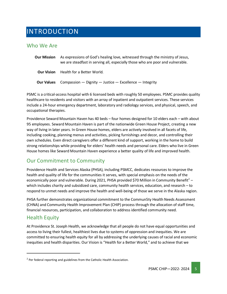# <span id="page-4-0"></span>INTRODUCTION

### <span id="page-4-1"></span>Who We Are

| <b>Our Mission</b> | As expressions of God's healing love, witnessed through the ministry of Jesus,<br>we are steadfast in serving all, especially those who are poor and vulnerable. |
|--------------------|------------------------------------------------------------------------------------------------------------------------------------------------------------------|
| <b>Our Vision</b>  | Health for a Better World.                                                                                                                                       |
| <b>Our Values</b>  | Compassion — Dignity — Justice — Excellence — Integrity                                                                                                          |

PSMC is a critical-access hospital with 6 licensed beds with roughly 50 employees. PSMC provides quality healthcare to residents and visitors with an array of inpatient and outpatient services. These services include a 24-hour emergency department, laboratory and radiology services, and physical, speech, and occupational therapies.

Providence Seward Mountain Haven has 40 beds – four homes designed for 10 elders each – with about 95 employees. Seward Mountain Haven is part of the nationwide Green House Project, creating a new way of living in later years. In Green House homes, elders are actively involved in all facets of life, including cooking, planning menus and activities, picking furnishings and decor, and controlling their own schedules. Even direct caregivers offer a different kind of support, working in the home to build strong relationships while providing for elders' health needs and personal care. Elders who live in Green House homes like Seward Mountain Haven experience a better quality of life and improved health.

### <span id="page-4-2"></span>Our Commitment to Community

Providence Health and Services Alaska (PHSA), including PSMCC, dedicates resources to improve the health and quality of life for the communities it serves, with special emphasis on the needs of the economically poor and vulnerable. During [2](#page-4-4)021, PHSA provided \$70 Million in Community Benefit<sup>2</sup> – which includes charity and subsidized care, community health services, education, and research – to respond to unmet needs and improve the health and well-being of those we serve in the Alaska region.

PHSA further demonstrates organizational commitment to the Commun5ty Health Needs Assessment (CHNA) and Community Health Improvement Plan (CHIP) process through the allocation of staff time, financial resources, participation, and collaboration to address identified community need.

### <span id="page-4-3"></span>Health Equity

At Providence St. Joseph Health, we acknowledge that all people do not have equal opportunities and access to living their fullest, healthiest lives due to systems of oppression and inequities. We are committed to ensuring health equity for all by addressing the underlying causes of racial and economic inequities and health disparities. Our Vision is "Health for a Better World," and to achieve that we

<span id="page-4-4"></span> $2$  Per federal reporting and guidelines from the Catholic Health Association.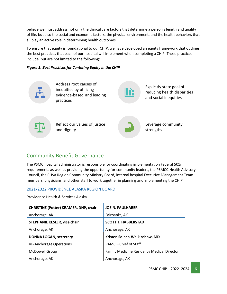believe we must address not only the clinical care factors that determine a person's length and quality of life, but also the social and economic factors, the physical environment, and the health behaviors that all play an active role in determining health outcomes.

To ensure that equity is foundational to our CHIP, we have developed an equity framework that outlines the best practices that each of our hospital will implement when completing a CHIP. These practices include, but are not limited to the following:

#### *Figure 1. Best Practices for Centering Equity in the CHIP*



Address root causes of inequities by utilizing evidence-based and leading practices

Explicitly state goal of reducing health disparities and social inequities



Reflect our values of justice and dignity



Leverage community strengths

### <span id="page-5-0"></span>Community Benefit Governance

The PSMC hospital administrator is responsible for coordinating implementation Federal 501r requirements as well as providing the opportunity for community leaders, the PSMCC Health Advisory Council, the PHSA Region Community Ministry Board, internal hospital Executive Management Team members, physicians, and other staff to work together in planning and implementing the CHIP.

#### 2021/2022 PROVIDENCE ALASKA REGION BOARD

Providence Health & Services Alaska

| <b>CHRISTINE (Potter) KRAMER, DNP, chair</b> | <b>JOE N. FAULHABER</b>                           |
|----------------------------------------------|---------------------------------------------------|
| Anchorage, AK                                | Fairbanks, AK                                     |
| <b>STEPHANIE KESLER, vice chair</b>          | <b>SCOTT T. HABBERSTAD</b>                        |
| Anchorage, AK                                | Anchorage, AK                                     |
| <b>DONNA LOGAN, secretary</b>                | Kristen Solana-Walkinshaw, MD                     |
| <b>VP-Anchorage Operations</b>               | PAMC - Chief of Staff                             |
| <b>McDowell Group</b>                        | <b>Family Medicine Residency Medical Director</b> |
| Anchorage, AK                                | Anchorage, AK                                     |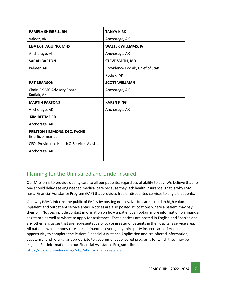| PAMELA SHIRRELL, RN                              | <b>TANYA KIRK</b>                 |
|--------------------------------------------------|-----------------------------------|
| Valdez, AK                                       | Anchorage, AK                     |
| LISA D.H. AQUINO, MHS                            | <b>WALTER WILLIAMS, IV</b>        |
| Anchorage, AK                                    | Anchorage, AK                     |
| <b>SARAH BARTON</b>                              | <b>STEVE SMITH, MD</b>            |
| Palmer, AK                                       | Providence Kodiak, Chief of Staff |
|                                                  | Kodiak, AK                        |
| <b>PAT BRANSON</b>                               | <b>SCOTT WELLMAN</b>              |
| Chair, PKIMC Advisory Board<br>Kodiak, AK        | Anchorage, AK                     |
| <b>MARTIN PARSONS</b>                            | <b>KAREN KING</b>                 |
| Anchorage, AK                                    | Anchorage, AK                     |
| <b>KIM REITMEIER</b>                             |                                   |
| Anchorage, AK                                    |                                   |
| PRESTON SIMMONS, DSC, FACHE<br>Ex officio member |                                   |
| CEO, Providence Health & Services Alaska         |                                   |
| Anchorage, AK                                    |                                   |
|                                                  |                                   |

# <span id="page-6-0"></span>Planning for the Uninsured and Underinsured

Our Mission is to provide quality care to all our patients, regardless of ability to pay. We believe that no one should delay seeking needed medical care because they lack health insurance. That is why PSMC has a Financial Assistance Program (FAP) that provides free or discounted services to eligible patients.

One way PSMC informs the public of FAP is by posting notices. Notices are posted in high volume inpatient and outpatient service areas. Notices are also posted at locations where a patient may pay their bill. Notices include contact information on how a patient can obtain more information on financial assistance as well as where to apply for assistance. These notices are posted in English and Spanish and any other languages that are representative of 5% or greater of patients in the hospital's service area. All patients who demonstrate lack of financial coverage by third party insurers are offered an opportunity to complete the Patient Financial Assistance Application and are offered information, assistance, and referral as appropriate to government sponsored programs for which they may be eligible. For information on our Financial Assistance Program click [https://www.providence.org/obp/ak/financial-assistance.](https://www.providence.org/obp/ak/financial-assistance)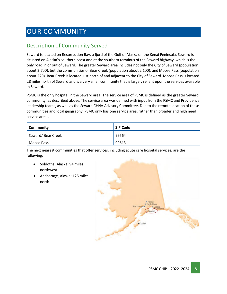# <span id="page-7-0"></span>OUR COMMUNITY

## <span id="page-7-1"></span>Description of Community Served

Seward is located on Resurrection Bay, a fjord of the Gulf of Alaska on the Kenai Peninsula. Seward is situated on Alaska's southern coast and at the southern terminus of the Seward highway, which is the only road in or out of Seward. The greater Seward area includes not only the City of Seward (population about 2,700), but the communities of Bear Creek (population about 2,100), and Moose Pass (population about 220). Bear Creek is located just north of and adjacent to the City of Seward. Moose Pass is located 28 miles north of Seward and is a very small community that is largely reliant upon the services available in Seward.

PSMC is the only hospital in the Seward area. The service area of PSMC is defined as the greater Seward community, as described above. The service area was defined with input from the PSMC and Providence leadership teams, as well as the Seward CHNA Advisory Committee. Due to the remote location of these communities and local geography, PSMC only has one service area, rather than broader and high need service areas.

| Community         | <b>ZIP Code</b> |
|-------------------|-----------------|
| Seward/Bear Creek | 99664           |
| Moose Pass        | 99613           |

The next nearest communities that offer services, including acute care hospital services, are the following:

- Soldotna, Alaska: 94 miles northwest
- Anchorage, Alaska: 125 miles north

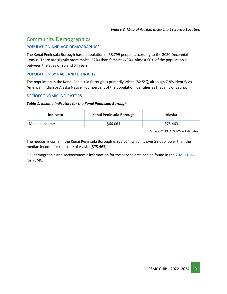### <span id="page-8-0"></span>Community Demographics

#### POPULATION AND AGE DEMOGRAPHICS

The Kenai Peninsula Borough has a population of 58,799 people, according to the 2020 Decennial Census. There are slightly more males (52%) than females (48%). Almost 60% of the population is between the ages of 20 and 64 years.

#### POPULATION BY RACE AND ETHNICITY

The population in the Kenai Peninsula Borough is primarily White (82.5%), although 7.8% identify as American Indian or Alaska Native. Four percent of the population identifies as Hispanic or Latino.

#### SOCIOECONOMIC INDICATORS

#### *Table 1. Income Indicators for the Kenai Peninsula Borough*

| <b>Indicator</b> | Kenai Peninsula Borough | Alaska   |
|------------------|-------------------------|----------|
| Median Income    | \$66,064                | \$75,463 |

Source: 2019: ACS 5-Year Estimates

The median income in the Kenai Peninsula Borough is \$66,064, which is over \$9,000 lower than the median income for the state of Alaska (\$75,463).

Full demographic and socioeconomic information for the service area can be found in the [2021 CHNA](https://www.providence.org/-/media/Project/psjh/providence/socal/Files/about/community-benefit/pdfs/2021chnasewardmedicalcenter.pdf?la=en&hash=5189E1FF529BE54C628954FE6699A2A4) for PSMC.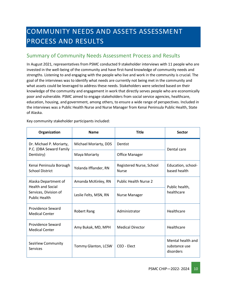# <span id="page-9-0"></span>COMMUNITY NEEDS AND ASSETS ASSESSMENT PROCESS AND RESULTS

### <span id="page-9-1"></span>Summary of Community Needs Assessment Process and Results

In August 2021, representatives from PSMC conducted 9 stakeholder interviews with 11 people who are invested in the well-being of the community and have first-hand knowledge of community needs and strengths. Listening to and engaging with the people who live and work in the community is crucial. The goal of the interviews was to identify what needs are currently not being met in the community and what assets could be leveraged to address these needs. Stakeholders were selected based on their knowledge of the community and engagement in work that directly serves people who are economically poor and vulnerable. PSMC aimed to engage stakeholders from social service agencies, healthcare, education, housing, and government, among others, to ensure a wide range of perspectives. Included in the interviews was a Public Health Nurse and Nurse Manager from Kenai Peninsula Public Health, State of Alaska.

| Organization                                                               | <b>Name</b>           | <b>Title</b>                             | Sector                                          |  |
|----------------------------------------------------------------------------|-----------------------|------------------------------------------|-------------------------------------------------|--|
| Dr. Michael P. Moriarty,<br>P.C. (DBA Seward Family                        | Michael Moriarty, DDS | <b>Dentist</b>                           | Dental care                                     |  |
| Dentistry)                                                                 | Maya Moriarty         | <b>Office Manager</b>                    |                                                 |  |
| Kenai Peninsula Borough<br>Yolanda Ifflander, RN<br><b>School District</b> |                       | Registered Nurse, School<br><b>Nurse</b> | Education, school-<br>based health              |  |
| Alaska Department of<br><b>Health and Social</b>                           | Amanda McKinley, RN   | <b>Public Health Nurse 2</b>             | Public health,<br>healthcare                    |  |
| Services, Division of<br><b>Public Health</b>                              | Leslie Felts, MSN, RN | Nurse Manager                            |                                                 |  |
| <b>Providence Seward</b><br><b>Medical Center</b>                          | Robert Rang           | Administrator                            | Healthcare                                      |  |
| Providence Seward<br><b>Medical Center</b>                                 | Amy Bukak, MD, MPH    | <b>Medical Director</b>                  | Healthcare                                      |  |
| SeaView Community<br>Services                                              | Tommy Glanton, LCSW   | CEO - Elect                              | Mental health and<br>substance use<br>disorders |  |

Key community stakeholder participants included: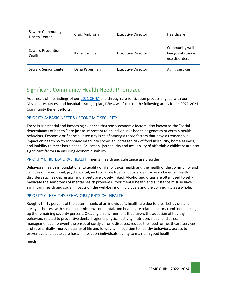| <b>Seward Community</b><br><b>Health Center</b> | Craig Ambrosiani | <b>Executive Director</b> | Healthcare                                           |
|-------------------------------------------------|------------------|---------------------------|------------------------------------------------------|
| Seward Prevention<br>Coalition                  | Katie Cornwell   | <b>Executive Director</b> | Community well-<br>being, substance<br>use disorders |
| <b>Seward Senior Center</b>                     | Dana Paperman    | <b>Executive Director</b> | Aging services                                       |

### <span id="page-10-0"></span>Significant Community Health Needs Prioritized

As a result of the findings of our [2021 CHNA](https://www.providence.org/-/media/Project/psjh/providence/socal/Files/about/community-benefit/pdfs/2021chnasewardmedicalcenter.pdf?la=en&hash=5189E1FF529BE54C628954FE6699A2A4) and through a prioritization process aligned with our Mission, resources, and hospital strategic plan, PSMC will focus on the following areas for its 2022-2024 Community Benefit efforts:

#### PRIORITY A: BASIC NEEEDS / ECONOMIC SECURITY:

There is substantial and increasing evidence that socio-economic factors, also known as the "social determinants of health," are just as important to an individual's health as genetics or certain health behaviors. Economic or financial insecurity is chief amongst those factors that have a tremendous impact on health. With economic insecurity comes an increased risk of food insecurity, homelessness, and inability to meet basic needs. Education, job security and availability of affordable childcare are also significant factors in ensuring economic stability.

PRIORITY B: BEHAVIORAL HEALTH (mental health and substance use disorder):

Behavioral health is foundational to quality of life, physical health and the health of the community and includes our emotional, psychological, and social well-being. Substance misuse and mental health disorders such as depression and anxiety are closely linked. Alcohol and drugs are often used to selfmedicate the symptoms of mental health problems. Poor mental health and substance misuse have significant health and social impacts on the well-being of individuals and the community as a whole.

#### PRIORITY C: HEALTHY BEHAVIORS / PHYSICAL HEALTH:

Roughly thirty percent of the determinants of an individual's health are due to their behaviors and lifestyle choices, with socioeconomic, environmental, and healthcare related factors combined making up the remaining seventy percent. Creating an environment that favors the adoption of healthy behaviors related to preventive dental hygiene, physical activity, nutrition, sleep, and stress management can prevent the onset of costly chronic diseases, reduce the need for heathcare services, and substantially improve quality of life and longevity. In addition to healthy behaviors, access to preventive and acute care has an impact on individuals' ability to maintain good health.

needs.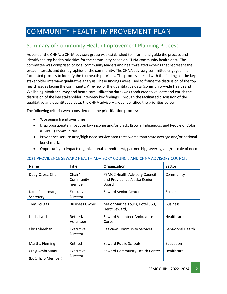# <span id="page-11-0"></span>COMMUNITY HEALTH IMPROVEMENT PLAN

# <span id="page-11-1"></span>Summary of Community Health Improvement Planning Process

As part of the CHNA, a CHNA advisory group was established to inform and guide the process and identify the top health priorities for the community based on CHNA community health data. The committee was comprised of local community leaders and health-related experts that represent the broad interests and demographics of the community. The CHNA advisory committee engaged in a facilitated process to identify the top health priorities. The process started with the findings of the key stakeholder interview qualitative analysis. These findings were used to frame the discussion of the top health issues facing the community. A review of the quantitative data (community-wide Health and Wellbeing Monitor survey and heath care utilization data) was conducted to validate and enrich the discussion of the key stakeholder interview key findings. Through the facilitated discussion of the qualitative and quantitative data, the CHNA advisory group identified the priorities below.

The following criteria were considered in the prioritization process:

- Worsening trend over time
- Disproportionate impact on low income and/or Black, Brown, Indigenous, and People of Color (BBIPOC) communities
- Providence service area/high need service area rates worse than state average and/or national benchmarks
- Opportunity to impact: organizational commitment, partnership, severity, and/or scale of need

| <b>Name</b>                             | <b>Title</b>                                                                                                   | Organization                                    | <b>Sector</b>            |
|-----------------------------------------|----------------------------------------------------------------------------------------------------------------|-------------------------------------------------|--------------------------|
| Doug Capra, Chair                       | Chair/<br>PSMCC Health Advisory Council<br>and Providence Alaska Region<br>Community<br>member<br><b>Board</b> |                                                 | Community                |
| Dana Paperman,<br>Secretary             | Executive<br>Director                                                                                          | Seward Senior Center                            | Senior                   |
| Tom Tougas                              | <b>Business Owner</b>                                                                                          | Major Marine Tours, Hotel 360,<br>Hertz Seward, | <b>Business</b>          |
| Linda Lynch                             | Retired/<br>Volunteer                                                                                          | Seward Volunteer Ambulance<br>Corps             | Healthcare               |
| Chris Sheehan                           | Executive<br>Director                                                                                          | SeaView Community Services                      | <b>Behavioral Health</b> |
| Martha Fleming                          | Retired                                                                                                        | Seward Public Schools                           | Education                |
| Craig Ambrosiani<br>(Ex Officio Member) | Executive<br>Director                                                                                          | Seward Community Health Center                  | Healthcare               |

#### 2021 PROVIDENCE SEWARD HEALTH ADVISORY COUNCIL AND CHNA ADVISORY COUNCIL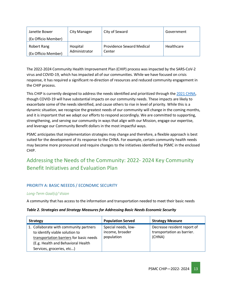| Janette Bower       | <b>City Manager</b> | City of Seward                   | Government |
|---------------------|---------------------|----------------------------------|------------|
| (Ex Officio Member) |                     |                                  |            |
| Robert Rang         | Hospital            | <b>Providence Seward Medical</b> | Healthcare |
| (Ex Officio Member) | Administrator       | Center                           |            |

The 2022-2024 Community Health Improvement Plan (CHIP) process was impacted by the SARS-CoV-2 virus and COVID-19, which has impacted all of our communities. While we have focused on crisis response, it has required a significant re-direction of resources and reduced community engagement in the CHIP process.

This CHIP is currently designed to address the needs identified and prioritized through the [2021 CHNA,](https://www.providence.org/-/media/Project/psjh/providence/socal/Files/about/community-benefit/pdfs/2021chnasewardmedicalcenter.pdf?la=en&hash=5189E1FF529BE54C628954FE6699A2A4) though COVID-19 will have substantial impacts on our community needs. These impacts are likely to exacerbate some of the needs identified, and cause others to rise in level of priority. While this is a dynamic situation, we recognize the greatest needs of our community will change in the coming months, and it is important that we adapt our efforts to respond accordingly. We are committed to supporting, strengthening, and serving our community in ways that align with our Mission, engage our expertise, and leverage our Community Benefit dollars in the most impactful ways.

PSMC anticipates that implementation strategies may change and therefore, a flexible approach is best suited for the development of its response to the CHNA. For example, certain community health needs may become more pronounced and require changes to the initiatives identified by PSMC in the enclosed CHIP.

# <span id="page-12-0"></span>Addressing the Needs of the Community: 2022- 2024 Key Community Benefit Initiatives and Evaluation Plan

#### PRIORITY A: BASIC NEEEDS / ECONOMIC SECURITY

#### *Long-Term Goal(s)/ Vision*

A community that has access to the information and transportation needed to meet their basic needs

#### *Table 2. Strategies and Strategy Measures for Addressing Basic Needs Economic Security*

| <b>Strategy</b>                                                                                                                                                                        | <b>Population Served</b>                             | <b>Strategy Measure</b>                                             |
|----------------------------------------------------------------------------------------------------------------------------------------------------------------------------------------|------------------------------------------------------|---------------------------------------------------------------------|
| 1. Collaborate with community partners<br>to identify viable solution to<br>transportation barriers for basic needs<br>(E.g. Health and Behavioral Health<br>Services, groceries, etc) | Special needs, low-<br>income, broader<br>population | Decrease resident report of<br>transportation as barrier.<br>(CHNA) |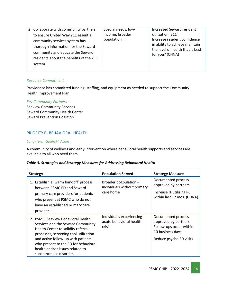| 2. Collaborate with community partners  | Special needs, low- | <b>Increased Seward resident</b>                    |
|-----------------------------------------|---------------------|-----------------------------------------------------|
| to ensure United Way 211 essential      | income, broader     | utilization '211'                                   |
| community services system has           | population          | Increase resident confidence                        |
| thorough information for the Seward     |                     | in ability to achieve maintain                      |
| community and educate the Seward        |                     | the level of health that is best<br>for you? (CHNA) |
| residents about the benefits of the 211 |                     |                                                     |
| system                                  |                     |                                                     |
|                                         |                     |                                                     |

#### *Resource Commitment*

Providence has committed funding, staffing, and equipment as needed to support the Community Health Improvement Plan

#### *Key Community Partners*

Seaview Community Services Seward Community Health Center Seward Prevention Coalition

#### PRIORITY B: BEHAVIORAL HEALTH

#### *Long-Term Goal(s)/ Vision*

A community of wellness and early intervention where behavioral health supports and services are available to all who need them.

#### *Table 3. Strategies and Strategy Measures for Addressing Behavioral Health*

| <b>Strategy</b>                                                                                                                                                                                                                                                                                    | <b>Population Served</b>                                          | <b>Strategy Measure</b>                                                                                              |
|----------------------------------------------------------------------------------------------------------------------------------------------------------------------------------------------------------------------------------------------------------------------------------------------------|-------------------------------------------------------------------|----------------------------------------------------------------------------------------------------------------------|
| 1. Establish a 'warm handoff' process<br>between PSMC ED and Seward<br>primary care providers for patients<br>who present at PSMC who do not<br>have an established primary care<br>provider                                                                                                       | Broader pogpulation -<br>individuals without primary<br>care home | Documented process<br>approved by partners<br>Increase % utilizing PC<br>within last 12 mos. (CHNA)                  |
| 2. PSMC, Seaview Behavioral Health<br>Services and the Seward Community<br>Health Center to solidify referral<br>processes, screening tool utilization<br>and active follow-up with patients<br>who present to the ED for behavioral<br>health and/or issues related to<br>substance use disorder. | Individuals experiencing<br>acute behavioral health<br>crisis     | Documented process<br>approved by partners<br>Follow-ups occur within<br>10 business days<br>Reduce psyche ED visits |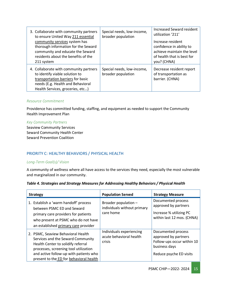| 3. Collaborate with community partners<br>to ensure United Way 211 essential<br>community services system has<br>thorough information for the Seward<br>community and educate the Seward<br>residents about the benefits of the | Special needs, low-income,<br>broader population | <b>Increased Seward resident</b><br>utilization '211'<br>Increase resident<br>confidence in ability to<br>achieve maintain the level<br>of health that is best for |
|---------------------------------------------------------------------------------------------------------------------------------------------------------------------------------------------------------------------------------|--------------------------------------------------|--------------------------------------------------------------------------------------------------------------------------------------------------------------------|
| 211 system                                                                                                                                                                                                                      |                                                  | you? (CHNA)                                                                                                                                                        |
| 4. Collaborate with community partners<br>to identify viable solution to<br>transportation barriers for basic<br>needs (E.g. Health and Behavioral<br>Health Services, groceries, etc)                                          | Special needs, low-income,<br>broader population | Decrease resident report<br>of transportation as<br>barrier. (CHNA)                                                                                                |

#### *Resource Commitment*

Providence has committed funding, staffing, and equipment as needed to support the Community Health Improvement Plan

#### *Key Community Partners*

Seaview Community Services Seward Community Health Center Seward Prevention Coalition

#### PRIORITY C: HEALTHY BEHAVIORS / PHYSICAL HEALTH

#### *Long-Term Goal(s)/ Vision*

A community of wellness where all have access to the services they need, especially the most vulnerable and marginalized in our community.

| Table 4. Strategies and Strategy Measures for Addressing Healthy Behaviors / Physical Health |  |  |
|----------------------------------------------------------------------------------------------|--|--|
|                                                                                              |  |  |

| <b>Strategy</b>                                                                                                                                                                                                                             | <b>Population Served</b>                                         | <b>Strategy Measure</b>                                                                                              |
|---------------------------------------------------------------------------------------------------------------------------------------------------------------------------------------------------------------------------------------------|------------------------------------------------------------------|----------------------------------------------------------------------------------------------------------------------|
| 1. Establish a 'warm handoff' process<br>between PSMC ED and Seward<br>primary care providers for patients<br>who present at PSMC who do not have<br>an established primary care provider                                                   | Broader population -<br>individuals without primary<br>care home | Documented process<br>approved by partners<br>Increase % utilizing PC<br>within last 12 mos. (CHNA)                  |
| 2. PSMC, Seaview Behavioral Health<br>Services and the Seward Community<br>Health Center to solidify referral<br>processes, screening tool utilization<br>and active follow-up with patients who<br>present to the ED for behavioral health | Individuals experiencing<br>acute behavioral health<br>crisis    | Documented process<br>approved by partners<br>Follow-ups occur within 10<br>business days<br>Reduce psyche ED visits |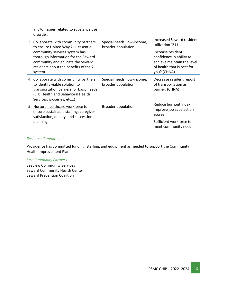| and/or issues related to substance use<br>disorder.                                                                                                                                                                                           |                                                  |                                                                                                                                                                                   |
|-----------------------------------------------------------------------------------------------------------------------------------------------------------------------------------------------------------------------------------------------|--------------------------------------------------|-----------------------------------------------------------------------------------------------------------------------------------------------------------------------------------|
| 3. Collaborate with community partners<br>to ensure United Way 211 essential<br>community services system has<br>thorough information for the Seward<br>community and educate the Seward<br>residents about the benefits of the 211<br>system | Special needs, low-income,<br>broader population | <b>Increased Seward resident</b><br>utilization '211'<br>Increase resident<br>confidence in ability to<br>achieve maintain the level<br>of health that is best for<br>you? (CHNA) |
| 4. Collaborate with community partners<br>to identify viable solution to<br>transportation barriers for basic needs<br>(E.g. Health and Behavioral Health<br>Services, groceries, etc)                                                        | Special needs, low-income,<br>broader population | Decrease resident report<br>of transportation as<br>barrier. (CHNA)                                                                                                               |
| 5. Nurture healthcare workforce to<br>ensure sustainable staffing, caregiver<br>satisfaction, quality, and succession<br>planning                                                                                                             | <b>Broader population</b>                        | Reduce burnout index<br>Improve job satisfaction<br>scores<br>Sufficient workforce to<br>meet community need                                                                      |

#### *Resource Commitment*

Providence has committed funding, staffing, and equipment as needed to support the Community Health Improvement Plan

#### *Key Community Partners*

Seaview Community Services Seward Community Health Center Seward Prevention Coalition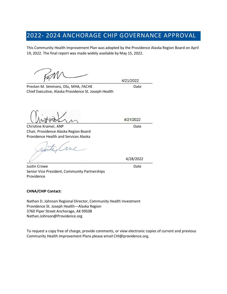# 2022- 2024 ANCHORAGE CHIP GOVERNANCE APPROVAL

This Community Health Improvement Plan was adopted by the Providence Alaska Region Board on April 19, 2022. The final report was made widely available by May 15, 2022.

\_\_\_\_\_\_\_\_\_\_\_\_\_\_\_\_\_\_\_\_\_\_\_\_\_\_\_\_\_\_\_\_\_\_\_\_\_\_\_\_\_\_\_\_\_\_\_\_\_\_\_\_\_\_\_\_\_\_\_\_\_\_

4/21/2022

Preston M. Simmons, DSc, MHA, FACHE Date Chief Executive, Alaska Providence St. Joseph Health

\_\_\_\_\_\_\_\_\_\_\_\_\_\_\_\_\_\_\_\_\_\_\_\_\_\_\_\_\_\_\_\_\_\_\_\_\_\_\_\_\_\_\_\_\_\_\_\_\_\_\_\_\_\_\_\_\_\_\_\_\_\_

Christine Kramer, ANP Date Chair, Providence Alaska Region Board Providence Health and Services Alaska

roil  $\frac{1}{2}$ 

4/28/2022

**Justin Crowe** Date **Date** Senior Vice President, Community Partnerships Providence

#### **CHNA/CHIP Contact:**

Nathan D. Johnson Regional Director, Community Health Investment Providence St. Joseph Health—Alaska Region 3760 Piper Street Anchorage, AK 99508 Nathan.Johnson@Providence.org

To request a copy free of charge, provide comments, or view electronic copies of current and previous Community Health Improvement Plans please email CHI@providence.org.